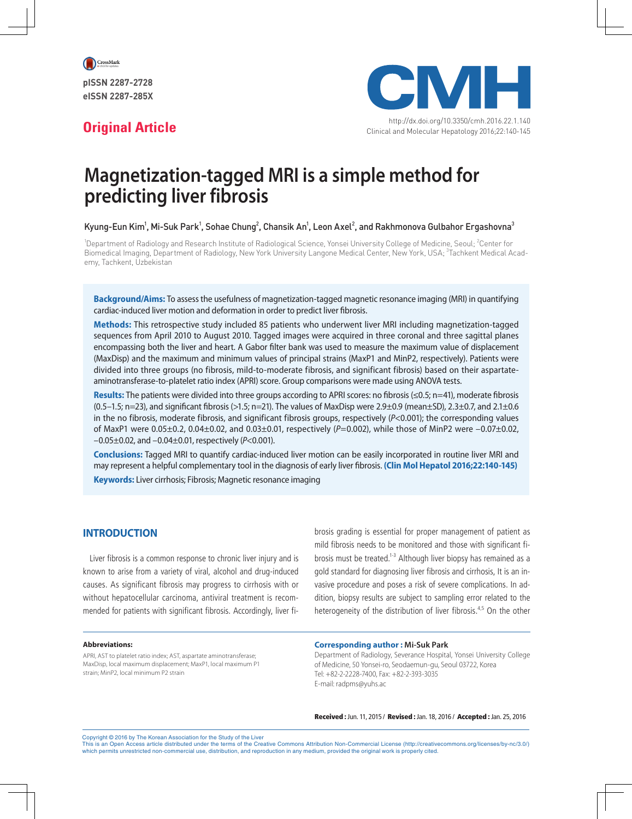

eISSN 2287-285X



http://dx.doi.org/10.3350/cmh.2016.22.1.140 **Original Article** Clinical and Molecular Hepatology 2016;22:140-145

# **Magnetization-tagged MRI is a simple method for predicting liver fibrosis**

Kyung-Eun Kim<sup>1</sup>, Mi-Suk Park<sup>1</sup>, Sohae Chung<sup>2</sup>, Chansik An<sup>1</sup>, Leon Axel<sup>2</sup>, and Rakhmonova Gulbahor Ergashovna<sup>3</sup>

<sup>1</sup>Department of Radiology and Research Institute of Radiological Science, Yonsei University College of Medicine, Seoul; <sup>2</sup>Center for Biomedical Imaging, Department of Radiology, New York University Langone Medical Center, New York, USA; <sup>3</sup>Tachkent Medical Academy, Tachkent, Uzbekistan

**Background/Aims:** To assess the usefulness of magnetization-tagged magnetic resonance imaging (MRI) in quantifying cardiac-induced liver motion and deformation in order to predict liver fibrosis.

**Methods:** This retrospective study included 85 patients who underwent liver MRI including magnetization-tagged sequences from April 2010 to August 2010. Tagged images were acquired in three coronal and three sagittal planes encompassing both the liver and heart. A Gabor filter bank was used to measure the maximum value of displacement (MaxDisp) and the maximum and minimum values of principal strains (MaxP1 and MinP2, respectively). Patients were divided into three groups (no fibrosis, mild-to-moderate fibrosis, and significant fibrosis) based on their aspartateaminotransferase-to-platelet ratio index (APRI) score. Group comparisons were made using ANOVA tests.

**Results:** The patients were divided into three groups according to APRI scores: no fibrosis (≤0.5; n=41), moderate fibrosis  $(0.5-1.5; n=23)$ , and significant fibrosis (>1.5; n=21). The values of MaxDisp were 2.9 $\pm$ 0.9 (mean $\pm$ SD), 2.3 $\pm$ 0.7, and 2.1 $\pm$ 0.6 in the no fibrosis, moderate fibrosis, and significant fibrosis groups, respectively (*P*<0.001); the corresponding values of MaxP1 were 0.05±0.2, 0.04±0.02, and 0.03±0.01, respectively (*P*=0.002), while those of MinP2 were –0.07±0.02, –0.05±0.02, and –0.04±0.01, respectively (*P*<0.001).

**Conclusions:** Tagged MRI to quantify cardiac-induced liver motion can be easily incorporated in routine liver MRI and may represent a helpful complementary tool in the diagnosis of early liver fibrosis. **(Clin Mol Hepatol 2016;22:140-145) Keywords:** Liver cirrhosis; Fibrosis; Magnetic resonance imaging

## **INTRODUCTION**

Liver fibrosis is a common response to chronic liver injury and is known to arise from a variety of viral, alcohol and drug-induced causes. As significant fibrosis may progress to cirrhosis with or without hepatocellular carcinoma, antiviral treatment is recommended for patients with significant fibrosis. Accordingly, liver fibrosis grading is essential for proper management of patient as mild fibrosis needs to be monitored and those with significant fibrosis must be treated.<sup>1-3</sup> Although liver biopsy has remained as a gold standard for diagnosing liver fibrosis and cirrhosis, It is an invasive procedure and poses a risk of severe complications. In addition, biopsy results are subject to sampling error related to the heterogeneity of the distribution of liver fibrosis.<sup>4,5</sup> On the other

#### **Abbreviations:**

APRI, AST to platelet ratio index; AST, aspartate aminotransferase; MaxDisp, local maximum displacement; MaxP1, local maximum P1 strain; MinP2, local minimum P2 strain

#### **Corresponding author : Mi-Suk Park**

Department of Radiology, Severance Hospital, Yonsei University College of Medicine, 50 Yonsei-ro, Seodaemun-gu, Seoul 03722, Korea Tel: +82-2-2228-7400, Fax: +82-2-393-3035 E-mail: radpms@yuhs.ac

Received : Jun. 11, 2015 / Revised : Jan. 18, 2016 / Accepted : Jan. 25, 2016

Copyright © 2016 by The Korean Association for the Study of the Liver

This is an Open Access article distributed under the terms of the Creative Commons Attribution Non-Commercial License (http://creativecommons.org/licenses/by-nc/3.0/) which permits unrestricted non-commercial use, distribution, and reproduction in any medium, provided the original work is properly cited.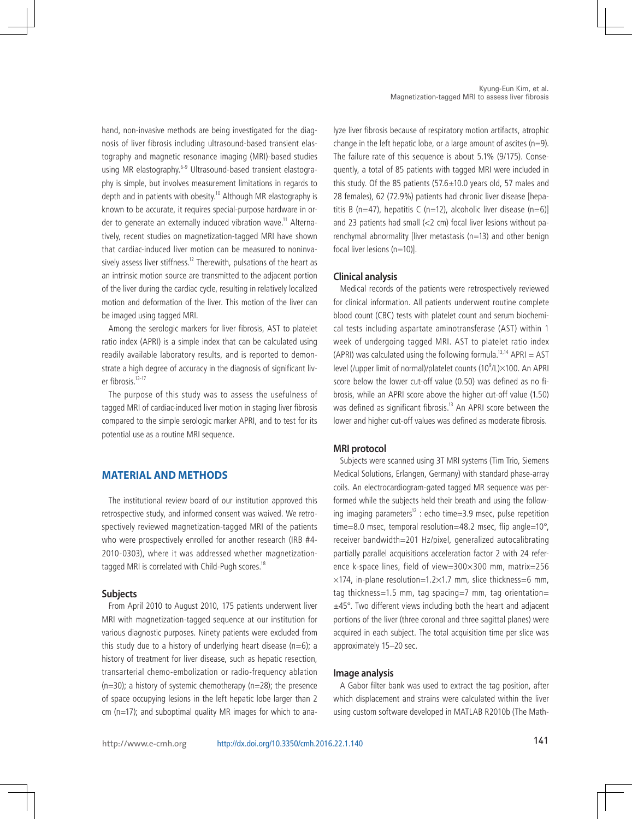hand, non-invasive methods are being investigated for the diagnosis of liver fibrosis including ultrasound-based transient elastography and magnetic resonance imaging (MRI)-based studies using MR elastography.<sup>6-9</sup> Ultrasound-based transient elastography is simple, but involves measurement limitations in regards to depth and in patients with obesity.<sup>10</sup> Although MR elastography is known to be accurate, it requires special-purpose hardware in order to generate an externally induced vibration wave.<sup>11</sup> Alternatively, recent studies on magnetization-tagged MRI have shown that cardiac-induced liver motion can be measured to noninvasively assess liver stiffness.<sup>12</sup> Therewith, pulsations of the heart as an intrinsic motion source are transmitted to the adjacent portion of the liver during the cardiac cycle, resulting in relatively localized motion and deformation of the liver. This motion of the liver can be imaged using tagged MRI.

Among the serologic markers for liver fibrosis, AST to platelet ratio index (APRI) is a simple index that can be calculated using readily available laboratory results, and is reported to demonstrate a high degree of accuracy in the diagnosis of significant liver fibrosis.<sup>13-17</sup>

The purpose of this study was to assess the usefulness of tagged MRI of cardiac-induced liver motion in staging liver fibrosis compared to the simple serologic marker APRI, and to test for its potential use as a routine MRI sequence.

# **MATERIAL AND METHODS**

The institutional review board of our institution approved this retrospective study, and informed consent was waived. We retrospectively reviewed magnetization-tagged MRI of the patients who were prospectively enrolled for another research (IRB #4- 2010-0303), where it was addressed whether magnetizationtagged MRI is correlated with Child-Pugh scores.<sup>18</sup>

#### **Subjects**

From April 2010 to August 2010, 175 patients underwent liver MRI with magnetization-tagged sequence at our institution for various diagnostic purposes. Ninety patients were excluded from this study due to a history of underlying heart disease ( $n=6$ ); a history of treatment for liver disease, such as hepatic resection, transarterial chemo-embolization or radio-frequency ablation  $(n=30)$ ; a history of systemic chemotherapy  $(n=28)$ ; the presence of space occupying lesions in the left hepatic lobe larger than 2 cm (n=17); and suboptimal quality MR images for which to analyze liver fibrosis because of respiratory motion artifacts, atrophic change in the left hepatic lobe, or a large amount of ascites ( $n=9$ ). The failure rate of this sequence is about 5.1% (9/175). Consequently, a total of 85 patients with tagged MRI were included in this study. Of the 85 patients  $(57.6 \pm 10.0$  years old, 57 males and 28 females), 62 (72.9%) patients had chronic liver disease [hepatitis B (n=47), hepatitis C (n=12), alcoholic liver disease (n=6)] and 23 patients had small (<2 cm) focal liver lesions without parenchymal abnormality [liver metastasis (n=13) and other benign focal liver lesions (n=10)].

#### **Clinical analysis**

Medical records of the patients were retrospectively reviewed for clinical information. All patients underwent routine complete blood count (CBC) tests with platelet count and serum biochemical tests including aspartate aminotransferase (AST) within 1 week of undergoing tagged MRI. AST to platelet ratio index (APRI) was calculated using the following formula.<sup>13,14</sup> APRI = AST level (/upper limit of normal)/platelet counts (10<sup>9</sup>/L)×100. An APRI score below the lower cut-off value (0.50) was defined as no fibrosis, while an APRI score above the higher cut-off value (1.50) was defined as significant fibrosis.<sup>13</sup> An APRI score between the lower and higher cut-off values was defined as moderate fibrosis.

#### **MRI protocol**

Subjects were scanned using 3T MRI systems (Tim Trio, Siemens Medical Solutions, Erlangen, Germany) with standard phase-array coils. An electrocardiogram-gated tagged MR sequence was performed while the subjects held their breath and using the following imaging parameters<sup>12</sup> : echo time=3.9 msec, pulse repetition time=8.0 msec, temporal resolution=48.2 msec, flip angle=10°, receiver bandwidth=201 Hz/pixel, generalized autocalibrating partially parallel acquisitions acceleration factor 2 with 24 reference k-space lines, field of view=300×300 mm, matrix=256  $\times$ 174, in-plane resolution=1.2 $\times$ 1.7 mm, slice thickness=6 mm, tag thickness=1.5 mm, tag spacing=7 mm, tag orientation=  $±45^\circ$ . Two different views including both the heart and adjacent portions of the liver (three coronal and three sagittal planes) were acquired in each subject. The total acquisition time per slice was approximately 15–20 sec.

#### **Image analysis**

A Gabor filter bank was used to extract the tag position, after which displacement and strains were calculated within the liver using custom software developed in MATLAB R2010b (The Math-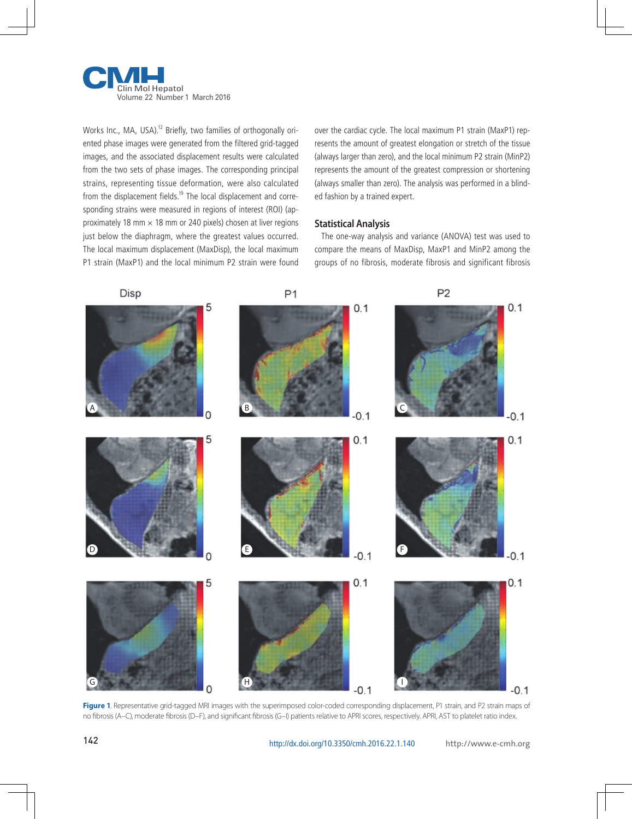

Works Inc., MA, USA).<sup>12</sup> Briefly, two families of orthogonally oriented phase images were generated from the filtered grid-tagged images, and the associated displacement results were calculated from the two sets of phase images. The corresponding principal strains, representing tissue deformation, were also calculated from the displacement fields.<sup>19</sup> The local displacement and corresponding strains were measured in regions of interest (ROI) (approximately 18 mm  $\times$  18 mm or 240 pixels) chosen at liver regions just below the diaphragm, where the greatest values occurred. The local maximum displacement (MaxDisp), the local maximum P1 strain (MaxP1) and the local minimum P2 strain were found

over the cardiac cycle. The local maximum P1 strain (MaxP1) represents the amount of greatest elongation or stretch of the tissue (always larger than zero), and the local minimum P2 strain (MinP2) represents the amount of the greatest compression or shortening (always smaller than zero). The analysis was performed in a blinded fashion by a trained expert.

#### **Statistical Analysis**

The one-way analysis and variance (ANOVA) test was used to compare the means of MaxDisp, MaxP1 and MinP2 among the groups of no fibrosis, moderate fibrosis and significant fibrosis



Figure 1. Representative grid-tagged MRI images with the superimposed color-coded corresponding displacement, P1 strain, and P2 strain maps of no fibrosis (A–C), moderate fibrosis (D–F), and significant fibrosis (G–I) patients relative to APRI scores, respectively. APRI, AST to platelet ratio index.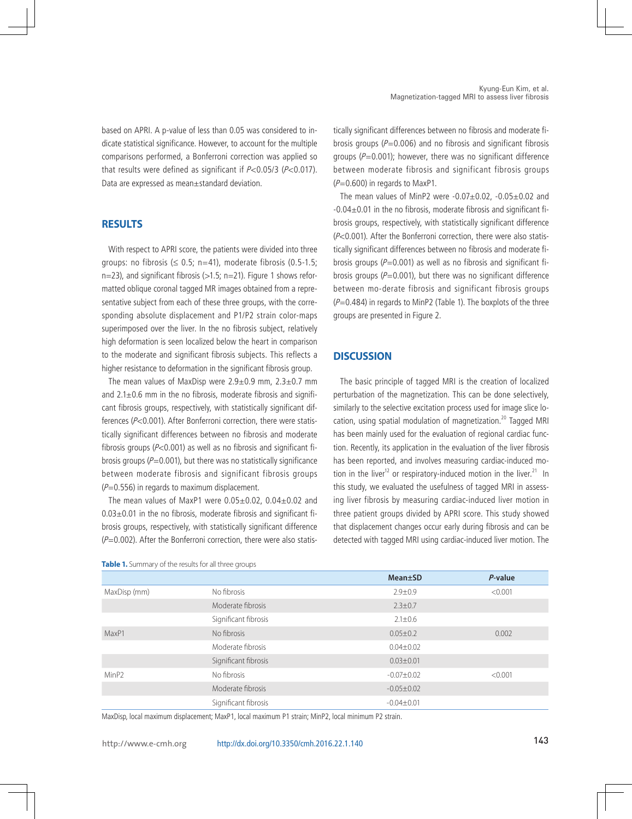based on APRI. A p-value of less than 0.05 was considered to indicate statistical significance. However, to account for the multiple comparisons performed, a Bonferroni correction was applied so that results were defined as significant if  $P < 0.05/3$  ( $P < 0.017$ ). Data are expressed as mean±standard deviation.

#### **RESULTS**

With respect to APRI score, the patients were divided into three groups: no fibrosis ( $\leq$  0.5; n=41), moderate fibrosis (0.5-1.5;  $n=23$ ), and significant fibrosis ( $>1.5$ ; n=21). Figure 1 shows reformatted oblique coronal tagged MR images obtained from a representative subject from each of these three groups, with the corresponding absolute displacement and P1/P2 strain color-maps superimposed over the liver. In the no fibrosis subject, relatively high deformation is seen localized below the heart in comparison to the moderate and significant fibrosis subjects. This reflects a higher resistance to deformation in the significant fibrosis group.

The mean values of MaxDisp were  $2.9\pm0.9$  mm,  $2.3\pm0.7$  mm and  $2.1\pm0.6$  mm in the no fibrosis, moderate fibrosis and significant fibrosis groups, respectively, with statistically significant differences (P<0.001). After Bonferroni correction, there were statistically significant differences between no fibrosis and moderate fibrosis groups ( $P<0.001$ ) as well as no fibrosis and significant fibrosis groups ( $P=0.001$ ), but there was no statistically significance between moderate fibrosis and significant fibrosis groups  $(P=0.556)$  in regards to maximum displacement.

The mean values of MaxP1 were 0.05±0.02, 0.04±0.02 and  $0.03\pm0.01$  in the no fibrosis, moderate fibrosis and significant fibrosis groups, respectively, with statistically significant difference  $(P=0.002)$ . After the Bonferroni correction, there were also statistically significant differences between no fibrosis and moderate fibrosis groups ( $P=0.006$ ) and no fibrosis and significant fibrosis groups ( $P=0.001$ ); however, there was no significant difference between moderate fibrosis and significant fibrosis groups  $(P=0.600)$  in regards to MaxP1.

The mean values of MinP2 were  $-0.07\pm0.02$ ,  $-0.05\pm0.02$  and -0.04±0.01 in the no fibrosis, moderate fibrosis and significant fibrosis groups, respectively, with statistically significant difference (P<0.001). After the Bonferroni correction, there were also statistically significant differences between no fibrosis and moderate fibrosis groups ( $P=0.001$ ) as well as no fibrosis and significant fibrosis groups ( $P=0.001$ ), but there was no significant difference between mo-derate fibrosis and significant fibrosis groups  $(P=0.484)$  in regards to MinP2 (Table 1). The boxplots of the three groups are presented in Figure 2.

## **DISCUSSION**

The basic principle of tagged MRI is the creation of localized perturbation of the magnetization. This can be done selectively, similarly to the selective excitation process used for image slice location, using spatial modulation of magnetization.<sup>20</sup> Tagged MRI has been mainly used for the evaluation of regional cardiac function. Recently, its application in the evaluation of the liver fibrosis has been reported, and involves measuring cardiac-induced motion in the liver<sup>12</sup> or respiratory-induced motion in the liver.<sup>21</sup> In this study, we evaluated the usefulness of tagged MRI in assessing liver fibrosis by measuring cardiac-induced liver motion in three patient groups divided by APRI score. This study showed that displacement changes occur early during fibrosis and can be detected with tagged MRI using cardiac-induced liver motion. The

|              |                      | Mean±SD          | $P$ -value |
|--------------|----------------------|------------------|------------|
| MaxDisp (mm) | No fibrosis          | $2.9 \pm 0.9$    | < 0.001    |
|              | Moderate fibrosis    | $2.3 \pm 0.7$    |            |
|              | Significant fibrosis | $2.1 \pm 0.6$    |            |
| MaxP1        | No fibrosis          | $0.05 \pm 0.2$   | 0.002      |
|              | Moderate fibrosis    | $0.04 \pm 0.02$  |            |
|              | Significant fibrosis | $0.03 \pm 0.01$  |            |
| MinP2        | No fibrosis          | $-0.07 + 0.02$   | < 0.001    |
|              | Moderate fibrosis    | $-0.05 \pm 0.02$ |            |
|              | Significant fibrosis | $-0.04 \pm 0.01$ |            |

**Table 1.** Summary of the results for all three groups

MaxDisp, local maximum displacement; MaxP1, local maximum P1 strain; MinP2, local minimum P2 strain.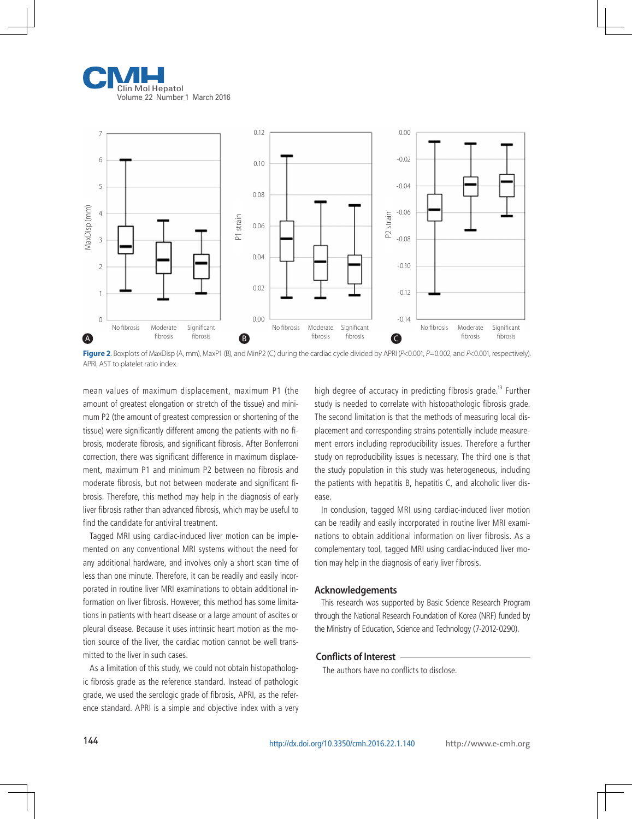



Figure 2. Boxplots of MaxDisp (A, mm), MaxP1 (B), and MinP2 (C) during the cardiac cycle divided by APRI (*P*<0.001, *P*=0.002, and *P<0.001*, respectively). APRI, AST to platelet ratio index.

mean values of maximum displacement, maximum P1 (the amount of greatest elongation or stretch of the tissue) and minimum P2 (the amount of greatest compression or shortening of the tissue) were significantly different among the patients with no fibrosis, moderate fibrosis, and significant fibrosis. After Bonferroni correction, there was significant difference in maximum displacement, maximum P1 and minimum P2 between no fibrosis and moderate fibrosis, but not between moderate and significant fibrosis. Therefore, this method may help in the diagnosis of early liver fibrosis rather than advanced fibrosis, which may be useful to find the candidate for antiviral treatment.

Tagged MRI using cardiac-induced liver motion can be implemented on any conventional MRI systems without the need for any additional hardware, and involves only a short scan time of less than one minute. Therefore, it can be readily and easily incorporated in routine liver MRI examinations to obtain additional information on liver fibrosis. However, this method has some limitations in patients with heart disease or a large amount of ascites or pleural disease. Because it uses intrinsic heart motion as the motion source of the liver, the cardiac motion cannot be well transmitted to the liver in such cases.

As a limitation of this study, we could not obtain histopathologic fibrosis grade as the reference standard. Instead of pathologic grade, we used the serologic grade of fibrosis, APRI, as the reference standard. APRI is a simple and objective index with a very high degree of accuracy in predicting fibrosis grade.<sup>13</sup> Further study is needed to correlate with histopathologic fibrosis grade. The second limitation is that the methods of measuring local displacement and corresponding strains potentially include measurement errors including reproducibility issues. Therefore a further study on reproducibility issues is necessary. The third one is that the study population in this study was heterogeneous, including the patients with hepatitis B, hepatitis C, and alcoholic liver disease.

In conclusion, tagged MRI using cardiac-induced liver motion can be readily and easily incorporated in routine liver MRI examinations to obtain additional information on liver fibrosis. As a complementary tool, tagged MRI using cardiac-induced liver motion may help in the diagnosis of early liver fibrosis.

#### **Acknowledgements**

This research was supported by Basic Science Research Program through the National Research Foundation of Korea (NRF) funded by the Ministry of Education, Science and Technology (7-2012-0290).

#### **Conflicts of Interest**

The authors have no conflicts to disclose.